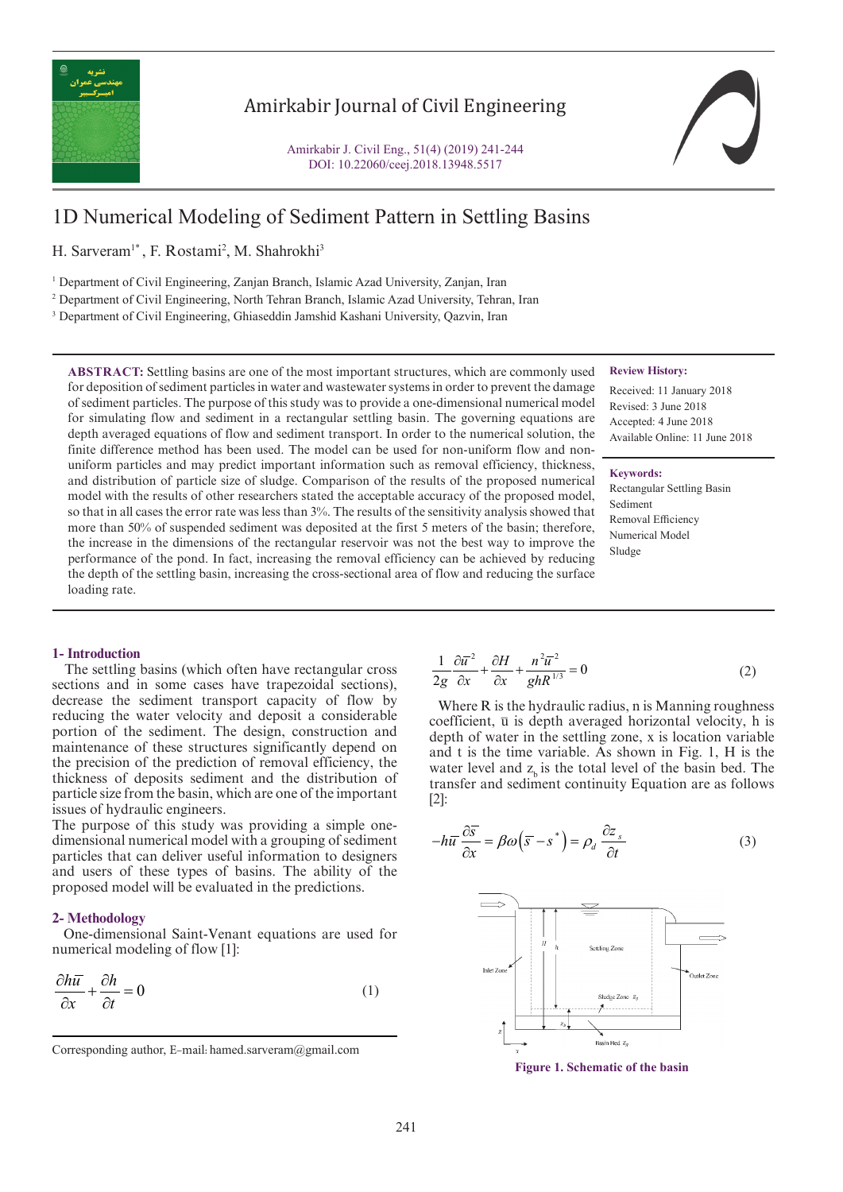

## Amirkabir Journal of Civil Engineering

Amirkabir J. Civil Eng., 51(4) (2019) 241-244 DOI: 10.22060/ceej.2018.13948.5517

# 1D Numerical Modeling of Sediment Pattern in Settling Basins

H. Sarveram<sup>1\*</sup>, F. Rostami<sup>2</sup>, M. Shahrokhi<sup>3</sup>

<sup>1</sup> Department of Civil Engineering, Zanjan Branch, Islamic Azad University, Zanjan, Iran

2 Department of Civil Engineering, North Tehran Branch, Islamic Azad University, Tehran, Iran

<sup>3</sup> Department of Civil Engineering, Ghiaseddin Jamshid Kashani University, Qazvin, Iran

**ABSTRACT:** Settling basins are one of the most important structures, which are commonly used for deposition of sediment particles in water and wastewater systems in order to prevent the damage of sediment particles. The purpose of this study was to provide a one-dimensional numerical model for simulating flow and sediment in a rectangular settling basin. The governing equations are depth averaged equations of flow and sediment transport. In order to the numerical solution, the finite difference method has been used. The model can be used for non-uniform flow and nonuniform particles and may predict important information such as removal efficiency, thickness, and distribution of particle size of sludge. Comparison of the results of the proposed numerical model with the results of other researchers stated the acceptable accuracy of the proposed model, so that in all cases the error rate was less than 3%. The results of the sensitivity analysis showed that more than 50% of suspended sediment was deposited at the first 5 meters of the basin; therefore, the increase in the dimensions of the rectangular reservoir was not the best way to improve the performance of the pond. In fact, increasing the removal efficiency can be achieved by reducing the depth of the settling basin, increasing the cross-sectional area of flow and reducing the surface loading rate.

### **Review History:**

Received: 11 January 2018 Revised: 3 June 2018 Accepted: 4 June 2018 Available Online: 11 June 2018

#### **Keywords:**

Rectangular Settling Basin Sediment Removal Efficiency Numerical Model Sludge

#### **1- Introduction**

 The settling basins (which often have rectangular cross sections and in some cases have trapezoidal sections), decrease the sediment transport capacity of flow by reducing the water velocity and deposit a considerable portion of the sediment. The design, construction and maintenance of these structures significantly depend on the precision of the prediction of removal efficiency, the thickness of deposits sediment and the distribution of particle size from the basin, which are one of the important issues of hydraulic engineers.

The purpose of this study was providing a simple onedimensional numerical model with a grouping of sediment particles that can deliver useful information to designers and users of these types of basins. The ability of the proposed model will be evaluated in the predictions.

#### **2- Methodology**

 One-dimensional Saint-Venant equations are used for numerical modeling of flow [1]:

$$
\frac{\partial h\overline{u}}{\partial x} + \frac{\partial h}{\partial t} = 0
$$
 (1)

$$
\frac{1}{2g}\frac{\partial \overline{u}^2}{\partial x} + \frac{\partial H}{\partial x} + \frac{n^2 \overline{u}^2}{ghR^{1/3}} = 0
$$
 (2)

Where R is the hydraulic radius, n is Manning roughness coefficient,  $\overline{u}$  is depth averaged horizontal velocity, h is depth of water in the settling zone, x is location variable and t is the time variable. As shown in Fig. 1, H is the water level and  $z<sub>b</sub>$  is the total level of the basin bed. The transfer and sediment continuity Equation are as follows [2]:

$$
-h\overline{u}\frac{\partial \overline{s}}{\partial x} = \beta\omega\left(\overline{s} - s^*\right) = \rho_d \frac{\partial z_s}{\partial t}
$$
 (3)



**Figure 1. Schematic of the basin**

Corresponding author, E-mail: hamed.sarveram@gmail.com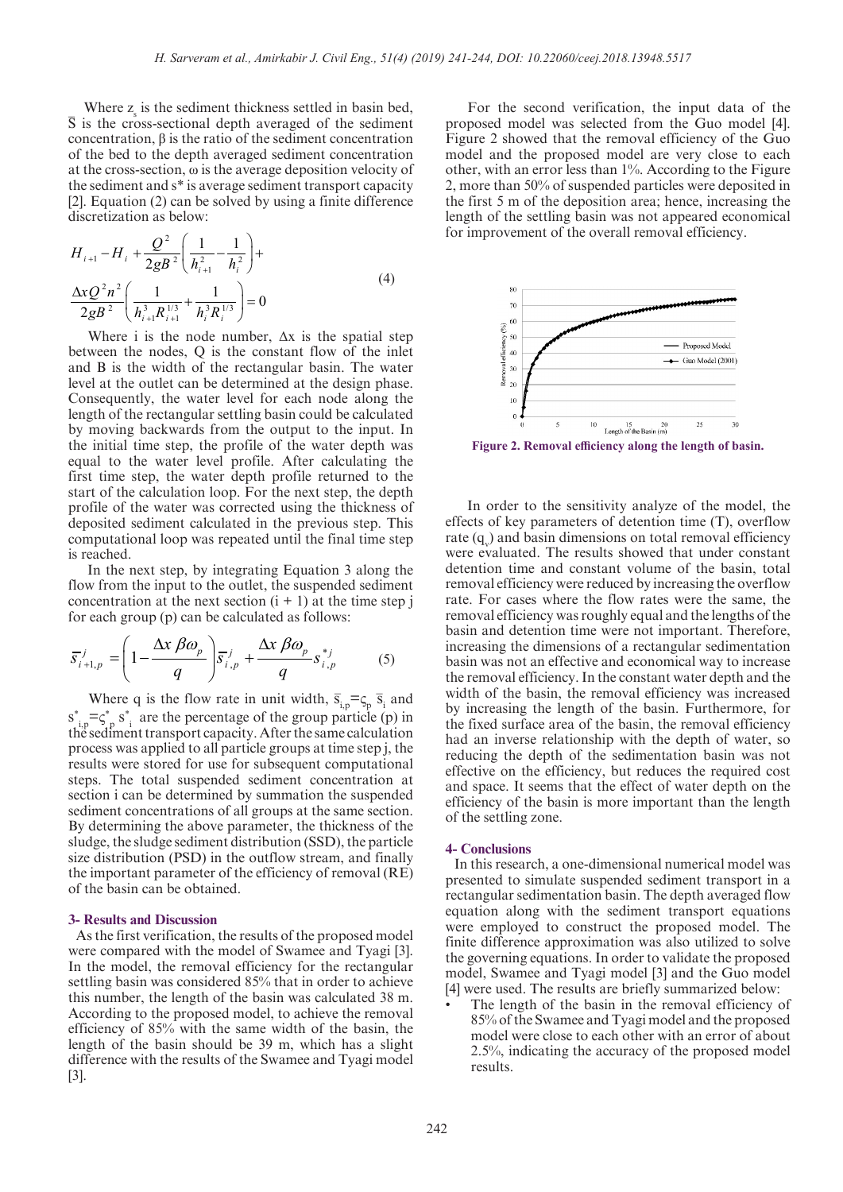Where  $z_s$  is the sediment thickness settled in basin bed, S is the cross-sectional depth averaged of the sediment concentration, β is the ratio of the sediment concentration of the bed to the depth averaged sediment concentration at the cross-section, ω is the average deposition velocity of the sediment and s\* is average sediment transport capacity [2]. Equation (2) can be solved by using a finite difference discretization as below: \_

$$
H_{i+1} - H_i + \frac{Q^2}{2gB^2} \left( \frac{1}{h_{i+1}^2} - \frac{1}{h_i^2} \right) +
$$
  

$$
\frac{\Delta x Q^2 n^2}{2gB^2} \left( \frac{1}{h_{i+1}^3 R_{i+1}^{1/3}} + \frac{1}{h_i^3 R_i^{1/3}} \right) = 0
$$
 (4)

Where i is the node number,  $\Delta x$  is the spatial step between the nodes, Q is the constant flow of the inlet and B is the width of the rectangular basin. The water level at the outlet can be determined at the design phase. Consequently, the water level for each node along the length of the rectangular settling basin could be calculated by moving backwards from the output to the input. In the initial time step, the profile of the water depth was equal to the water level profile. After calculating the first time step, the water depth profile returned to the start of the calculation loop. For the next step, the depth profile of the water was corrected using the thickness of deposited sediment calculated in the previous step. This computational loop was repeated until the final time step is reached.

 In the next step, by integrating Equation 3 along the flow from the input to the outlet, the suspended sediment concentration at the next section  $(i + 1)$  at the time step j for each group (p) can be calculated as follows:

$$
\overline{S}_{i+1,p}^{j} = \left(1 - \frac{\Delta x \beta \omega_p}{q}\right) \overline{S}_{i,p}^{j} + \frac{\Delta x \beta \omega_p}{q} S_{i,p}^{*j} \tag{5}
$$

Where q is the flow rate in unit width,  $\bar{s}_{i,p} = s_p \bar{s}_i$  and  $s_{i,p}^* = s_p^*$  s<sup>\*</sup><sub>i</sub> are the percentage of the group particle (p) in the sediment transport capacity. After the same calculation process was applied to all particle groups at time step j, the results were stored for use for subsequent computational steps. The total suspended sediment concentration at section i can be determined by summation the suspended sediment concentrations of all groups at the same section. By determining the above parameter, the thickness of the sludge, the sludge sediment distribution (SSD), the particle size distribution (PSD) in the outflow stream, and finally the important parameter of the efficiency of removal (RE) of the basin can be obtained.

#### **3- Results and Discussion**

 As the first verification, the results of the proposed model were compared with the model of Swamee and Tyagi [3]. In the model, the removal efficiency for the rectangular settling basin was considered 85% that in order to achieve this number, the length of the basin was calculated 38 m. According to the proposed model, to achieve the removal efficiency of 85% with the same width of the basin, the length of the basin should be 39 m, which has a slight difference with the results of the Swamee and Tyagi model [3].

 For the second verification, the input data of the proposed model was selected from the Guo model [4]. Figure 2 showed that the removal efficiency of the Guo model and the proposed model are very close to each other, with an error less than 1%. According to the Figure 2, more than 50% of suspended particles were deposited in the first 5 m of the deposition area; hence, increasing the length of the settling basin was not appeared economical for improvement of the overall removal efficiency.



**Figure 2. Removal efficiency along the length of basin.**

 In order to the sensitivity analyze of the model, the effects of key parameters of detention time (T), overflow rate  $(q_v)$  and basin dimensions on total removal efficiency were evaluated. The results showed that under constant detention time and constant volume of the basin, total removal efficiency were reduced by increasing the overflow rate. For cases where the flow rates were the same, the removal efficiency was roughly equal and the lengths of the basin and detention time were not important. Therefore, increasing the dimensions of a rectangular sedimentation basin was not an effective and economical way to increase the removal efficiency. In the constant water depth and the width of the basin, the removal efficiency was increased by increasing the length of the basin. Furthermore, for the fixed surface area of the basin, the removal efficiency had an inverse relationship with the depth of water, so reducing the depth of the sedimentation basin was not effective on the efficiency, but reduces the required cost and space. It seems that the effect of water depth on the efficiency of the basin is more important than the length of the settling zone.

#### **4- Conclusions**

 In this research, a one-dimensional numerical model was presented to simulate suspended sediment transport in a rectangular sedimentation basin. The depth averaged flow equation along with the sediment transport equations were employed to construct the proposed model. The finite difference approximation was also utilized to solve the governing equations. In order to validate the proposed model, Swamee and Tyagi model [3] and the Guo model [4] were used. The results are briefly summarized below:

The length of the basin in the removal efficiency of 85% of the Swamee and Tyagi model and the proposed model were close to each other with an error of about 2.5%, indicating the accuracy of the proposed model results.